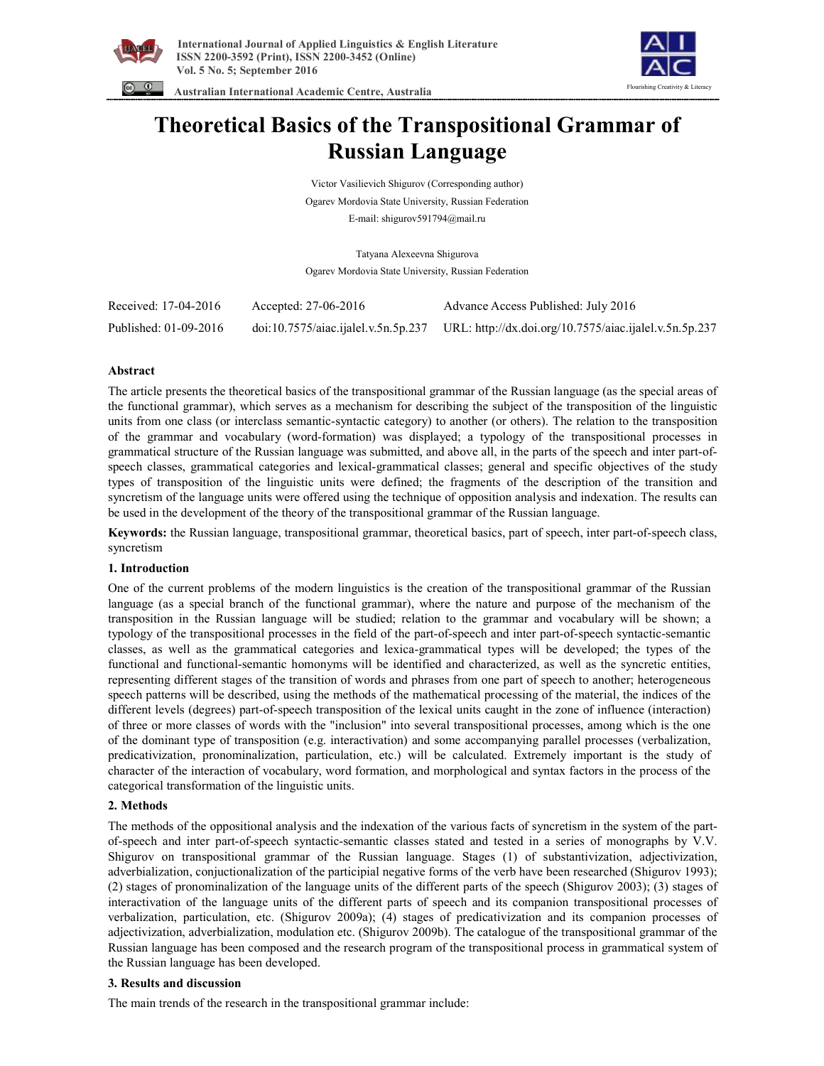





# **Theoretical Basics of the Transpositional Grammar of Russian Language**

Victor Vasilievich Shigurov (Corresponding author) Ogarev Mordovia State University, Russian Federation E-mail: shigurov591794@mail.ru

Tatyana Alexeevna Shigurova Ogarev Mordovia State University, Russian Federation

| Received: 17-04-2016  | Accepted: 27-06-2016 | Advance Access Published: July 2016                                                        |
|-----------------------|----------------------|--------------------------------------------------------------------------------------------|
| Published: 01-09-2016 |                      | doi:10.7575/aiac.ijalel.v.5n.5p.237 URL: http://dx.doi.org/10.7575/aiac.ijalel.v.5n.5p.237 |

# **Abstract**

The article presents the theoretical basics of the transpositional grammar of the Russian language (as the special areas of the functional grammar), which serves as a mechanism for describing the subject of the transposition of the linguistic units from one class (or interclass semantic-syntactic category) to another (or others). The relation to the transposition of the grammar and vocabulary (word-formation) was displayed; a typology of the transpositional processes in grammatical structure of the Russian language was submitted, and above all, in the parts of the speech and inter part-ofspeech classes, grammatical categories and lexical-grammatical classes; general and specific objectives of the study types of transposition of the linguistic units were defined; the fragments of the description of the transition and syncretism of the language units were offered using the technique of opposition analysis and indexation. The results can be used in the development of the theory of the transpositional grammar of the Russian language.

**Keywords:** the Russian language, transpositional grammar, theoretical basics, part of speech, inter part-of-speech class, syncretism

## **1. Introduction**

One of the current problems of the modern linguistics is the creation of the transpositional grammar of the Russian language (as a special branch of the functional grammar), where the nature and purpose of the mechanism of the transposition in the Russian language will be studied; relation to the grammar and vocabulary will be shown; a typology of the transpositional processes in the field of the part-of-speech and inter part-of-speech syntactic-semantic classes, as well as the grammatical categories and lexica-grammatical types will be developed; the types of the functional and functional-semantic homonyms will be identified and characterized, as well as the syncretic entities, representing different stages of the transition of words and phrases from one part of speech to another; heterogeneous speech patterns will be described, using the methods of the mathematical processing of the material, the indices of the different levels (degrees) part-of-speech transposition of the lexical units caught in the zone of influence (interaction) of three or more classes of words with the "inclusion" into several transpositional processes, among which is the one of the dominant type of transposition (e.g. interactivation) and some accompanying parallel processes (verbalization, predicativization, pronominalization, particulation, etc.) will be calculated. Extremely important is the study of character of the interaction of vocabulary, word formation, and morphological and syntax factors in the process of the categorical transformation of the linguistic units.

# **2. Methods**

The methods of the oppositional analysis and the indexation of the various facts of syncretism in the system of the partof-speech and inter part-of-speech syntactic-semantic classes stated and tested in a series of monographs by V.V. Shigurov on transpositional grammar of the Russian language. Stages (1) of substantivization, adjectivization, adverbialization, conjuctionalization of the participial negative forms of the verb have been researched (Shigurov 1993); (2) stages of pronominalization of the language units of the different parts of the speech (Shigurov 2003); (3) stages of interactivation of the language units of the different parts of speech and its companion transpositional processes of verbalization, particulation, etc. (Shigurov 2009a); (4) stages of predicativization and its companion processes of adjectivization, adverbialization, modulation etc. (Shigurov 2009b). The catalogue of the transpositional grammar of the Russian language has been composed and the research program of the transpositional process in grammatical system of the Russian language has been developed.

## **3. Results and discussion**

The main trends of the research in the transpositional grammar include: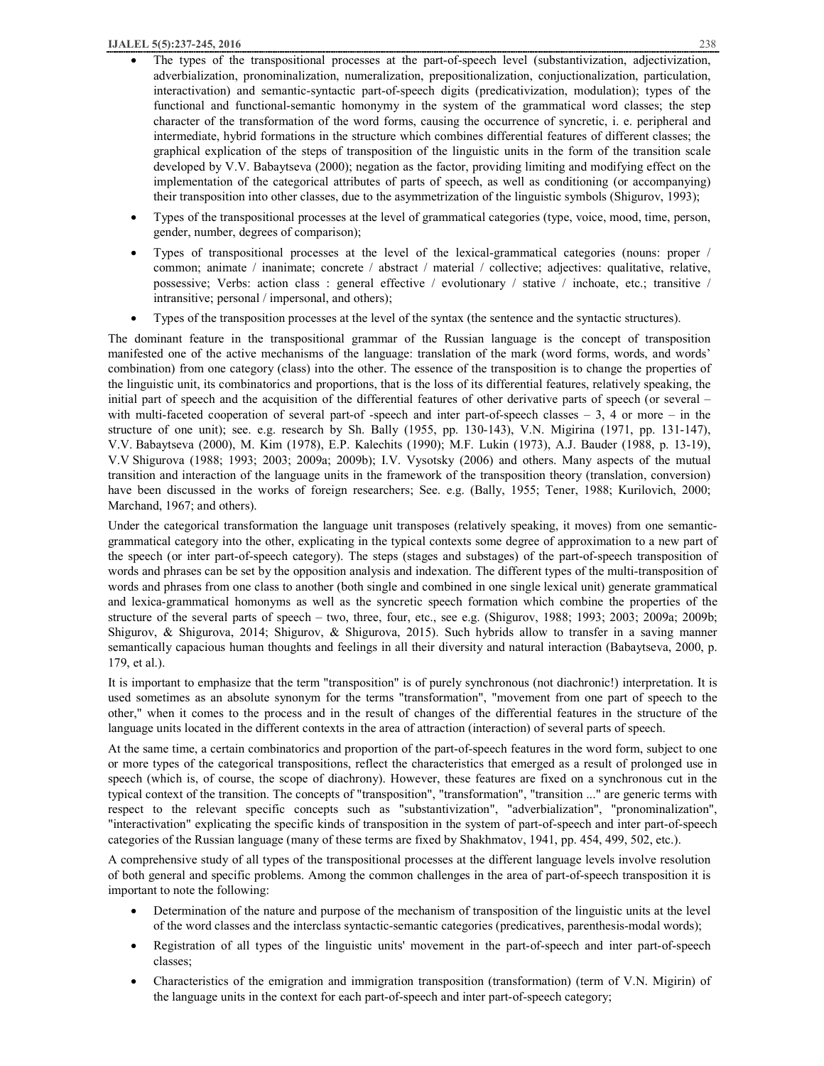- The types of the transpositional processes at the part-of-speech level (substantivization, adjectivization, adverbialization, pronominalization, numeralization, prepositionalization, conjuctionalization, particulation, interactivation) and semantic-syntactic part-of-speech digits (predicativization, modulation); types of the functional and functional-semantic homonymy in the system of the grammatical word classes; the step character of the transformation of the word forms, causing the occurrence of syncretic, i. e. peripheral and intermediate, hybrid formations in the structure which combines differential features of different classes; the graphical explication of the steps of transposition of the linguistic units in the form of the transition scale developed by V.V. Babaytseva (2000); negation as the factor, providing limiting and modifying effect on the implementation of the categorical attributes of parts of speech, as well as conditioning (or accompanying) their transposition into other classes, due to the asymmetrization of the linguistic symbols (Shigurov, 1993);
- · Types of the transpositional processes at the level of grammatical categories (type, voice, mood, time, person, gender, number, degrees of comparison);
- Types of transpositional processes at the level of the lexical-grammatical categories (nouns: proper / common; animate / inanimate; concrete / abstract / material / collective; adjectives: qualitative, relative, possessive; Verbs: action class : general effective / evolutionary / stative / inchoate, etc.; transitive / intransitive; personal / impersonal, and others);
- · Types of the transposition processes at the level of the syntax (the sentence and the syntactic structures).

The dominant feature in the transpositional grammar of the Russian language is the concept of transposition manifested one of the active mechanisms of the language: translation of the mark (word forms, words, and words' combination) from one category (class) into the other. The essence of the transposition is to change the properties of the linguistic unit, its combinatorics and proportions, that is the loss of its differential features, relatively speaking, the initial part of speech and the acquisition of the differential features of other derivative parts of speech (or several – with multi-faceted cooperation of several part-of-speech and inter part-of-speech classes  $-3$ , 4 or more  $-$  in the structure of one unit); see. e.g. research by Sh. Bally (1955, pp. 130-143), V.N. Migirina (1971, pp. 131-147), V.V. Babaytseva (2000), M. Kim (1978), E.P. Kalechits (1990); M.F. Lukin (1973), A.J. Bauder (1988, p. 13-19), V.V Shigurova (1988; 1993; 2003; 2009a; 2009b); I.V. Vysotsky (2006) and others. Many aspects of the mutual transition and interaction of the language units in the framework of the transposition theory (translation, conversion) have been discussed in the works of foreign researchers; See. e.g. (Bally, 1955; Tener, 1988; Kurilovich, 2000; Marchand, 1967; and others).

Under the categorical transformation the language unit transposes (relatively speaking, it moves) from one semanticgrammatical category into the other, explicating in the typical contexts some degree of approximation to a new part of the speech (or inter part-of-speech category). The steps (stages and substages) of the part-of-speech transposition of words and phrases can be set by the opposition analysis and indexation. The different types of the multi-transposition of words and phrases from one class to another (both single and combined in one single lexical unit) generate grammatical and lexica-grammatical homonyms as well as the syncretic speech formation which combine the properties of the structure of the several parts of speech – two, three, four, etc., see e.g. (Shigurov, 1988; 1993; 2003; 2009a; 2009b; Shigurov, & Shigurova, 2014; Shigurov, & Shigurova, 2015). Such hybrids allow to transfer in a saving manner semantically capacious human thoughts and feelings in all their diversity and natural interaction (Babaytseva, 2000, p. 179, et al.).

It is important to emphasize that the term "transposition" is of purely synchronous (not diachronic!) interpretation. It is used sometimes as an absolute synonym for the terms "transformation", "movement from one part of speech to the other," when it comes to the process and in the result of changes of the differential features in the structure of the language units located in the different contexts in the area of attraction (interaction) of several parts of speech.

At the same time, a certain combinatorics and proportion of the part-of-speech features in the word form, subject to one or more types of the categorical transpositions, reflect the characteristics that emerged as a result of prolonged use in speech (which is, of course, the scope of diachrony). However, these features are fixed on a synchronous cut in the typical context of the transition. The concepts of "transposition", "transformation", "transition ..." are generic terms with respect to the relevant specific concepts such as "substantivization", "adverbialization", "pronominalization", "interactivation" explicating the specific kinds of transposition in the system of part-of-speech and inter part-of-speech categories of the Russian language (many of these terms are fixed by Shakhmatov, 1941, pp. 454, 499, 502, etc.).

A comprehensive study of all types of the transpositional processes at the different language levels involve resolution of both general and specific problems. Among the common challenges in the area of part-of-speech transposition it is important to note the following:

- Determination of the nature and purpose of the mechanism of transposition of the linguistic units at the level of the word classes and the interclass syntactic-semantic categories (predicatives, parenthesis-modal words);
- Registration of all types of the linguistic units' movement in the part-of-speech and inter part-of-speech classes;
- · Characteristics of the emigration and immigration transposition (transformation) (term of V.N. Migirin) of the language units in the context for each part-of-speech and inter part-of-speech category;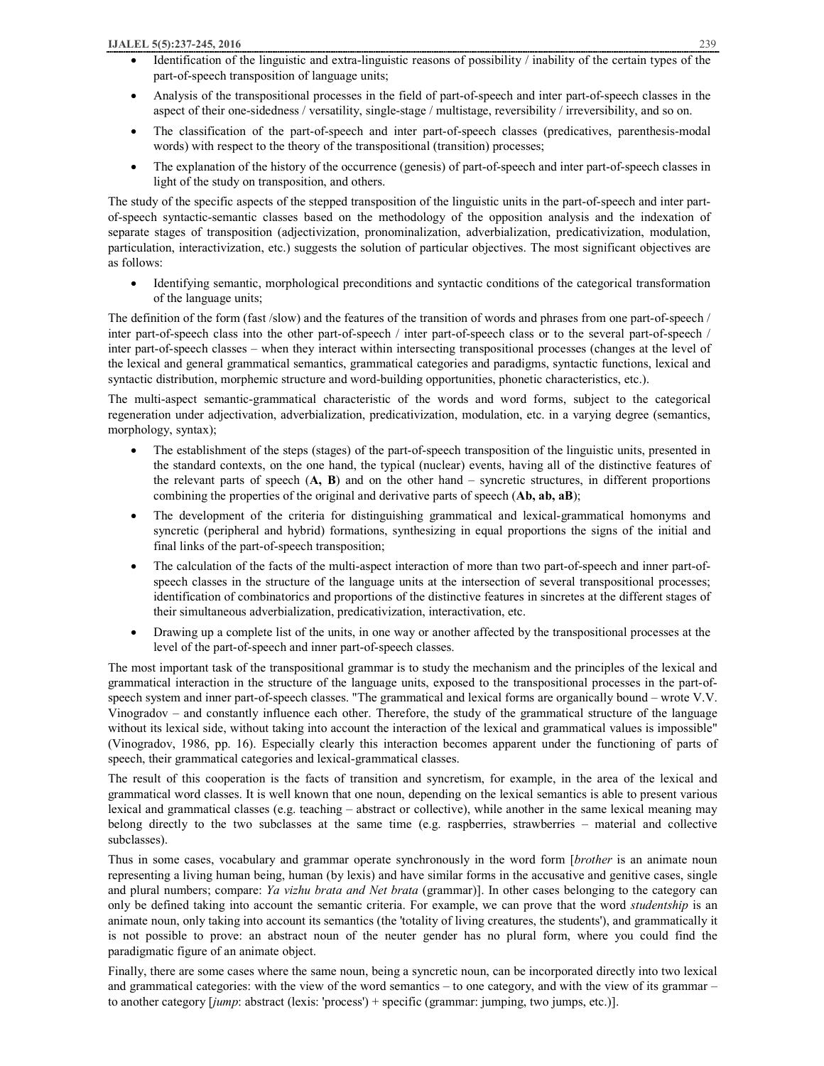- Identification of the linguistic and extra-linguistic reasons of possibility / inability of the certain types of the part-of-speech transposition of language units;
- · Analysis of the transpositional processes in the field of part-of-speech and inter part-of-speech classes in the aspect of their one-sidedness / versatility, single-stage / multistage, reversibility / irreversibility, and so on.
- The classification of the part-of-speech and inter part-of-speech classes (predicatives, parenthesis-modal words) with respect to the theory of the transpositional (transition) processes;
- The explanation of the history of the occurrence (genesis) of part-of-speech and inter part-of-speech classes in light of the study on transposition, and others.

The study of the specific aspects of the stepped transposition of the linguistic units in the part-of-speech and inter partof-speech syntactic-semantic classes based on the methodology of the opposition analysis and the indexation of separate stages of transposition (adjectivization, pronominalization, adverbialization, predicativization, modulation, particulation, interactivization, etc.) suggests the solution of particular objectives. The most significant objectives are as follows:

· Identifying semantic, morphological preconditions and syntactic conditions of the categorical transformation of the language units;

The definition of the form (fast /slow) and the features of the transition of words and phrases from one part-of-speech / inter part-of-speech class into the other part-of-speech / inter part-of-speech class or to the several part-of-speech / inter part-of-speech classes – when they interact within intersecting transpositional processes (changes at the level of the lexical and general grammatical semantics, grammatical categories and paradigms, syntactic functions, lexical and syntactic distribution, morphemic structure and word-building opportunities, phonetic characteristics, etc.).

The multi-aspect semantic-grammatical characteristic of the words and word forms, subject to the categorical regeneration under adjectivation, adverbialization, predicativization, modulation, etc. in a varying degree (semantics, morphology, syntax);

- · The establishment of the steps (stages) of the part-of-speech transposition of the linguistic units, presented in the standard contexts, on the one hand, the typical (nuclear) events, having all of the distinctive features of the relevant parts of speech (**A, B**) and on the other hand – syncretic structures, in different proportions combining the properties of the original and derivative parts of speech (**Ab, ab, aB**);
- · The development of the criteria for distinguishing grammatical and lexical-grammatical homonyms and syncretic (peripheral and hybrid) formations, synthesizing in equal proportions the signs of the initial and final links of the part-of-speech transposition;
- The calculation of the facts of the multi-aspect interaction of more than two part-of-speech and inner part-ofspeech classes in the structure of the language units at the intersection of several transpositional processes; identification of combinatorics and proportions of the distinctive features in sincretes at the different stages of their simultaneous adverbialization, predicativization, interactivation, etc.
- · Drawing up a complete list of the units, in one way or another affected by the transpositional processes at the level of the part-of-speech and inner part-of-speech classes.

The most important task of the transpositional grammar is to study the mechanism and the principles of the lexical and grammatical interaction in the structure of the language units, exposed to the transpositional processes in the part-ofspeech system and inner part-of-speech classes. "The grammatical and lexical forms are organically bound – wrote V.V. Vinogradov – and constantly influence each other. Therefore, the study of the grammatical structure of the language without its lexical side, without taking into account the interaction of the lexical and grammatical values is impossible" (Vinogradov, 1986, pp. 16). Especially clearly this interaction becomes apparent under the functioning of parts of speech, their grammatical categories and lexical-grammatical classes.

The result of this cooperation is the facts of transition and syncretism, for example, in the area of the lexical and grammatical word classes. It is well known that one noun, depending on the lexical semantics is able to present various lexical and grammatical classes (e.g. teaching – abstract or collective), while another in the same lexical meaning may belong directly to the two subclasses at the same time (e.g. raspberries, strawberries – material and collective subclasses).

Thus in some cases, vocabulary and grammar operate synchronously in the word form [*brother* is an animate noun representing a living human being, human (by lexis) and have similar forms in the accusative and genitive cases, single and plural numbers; compare: *Ya vizhu brata and Net brata* (grammar)]. In other cases belonging to the category can only be defined taking into account the semantic criteria. For example, we can prove that the word *studentship* is an animate noun, only taking into account its semantics (the 'totality of living creatures, the students'), and grammatically it is not possible to prove: an abstract noun of the neuter gender has no plural form, where you could find the paradigmatic figure of an animate object.

Finally, there are some cases where the same noun, being a syncretic noun, can be incorporated directly into two lexical and grammatical categories: with the view of the word semantics – to one category, and with the view of its grammar – to another category [*jump*: abstract (lexis: 'process') + specific (grammar: jumping, two jumps, etc.)].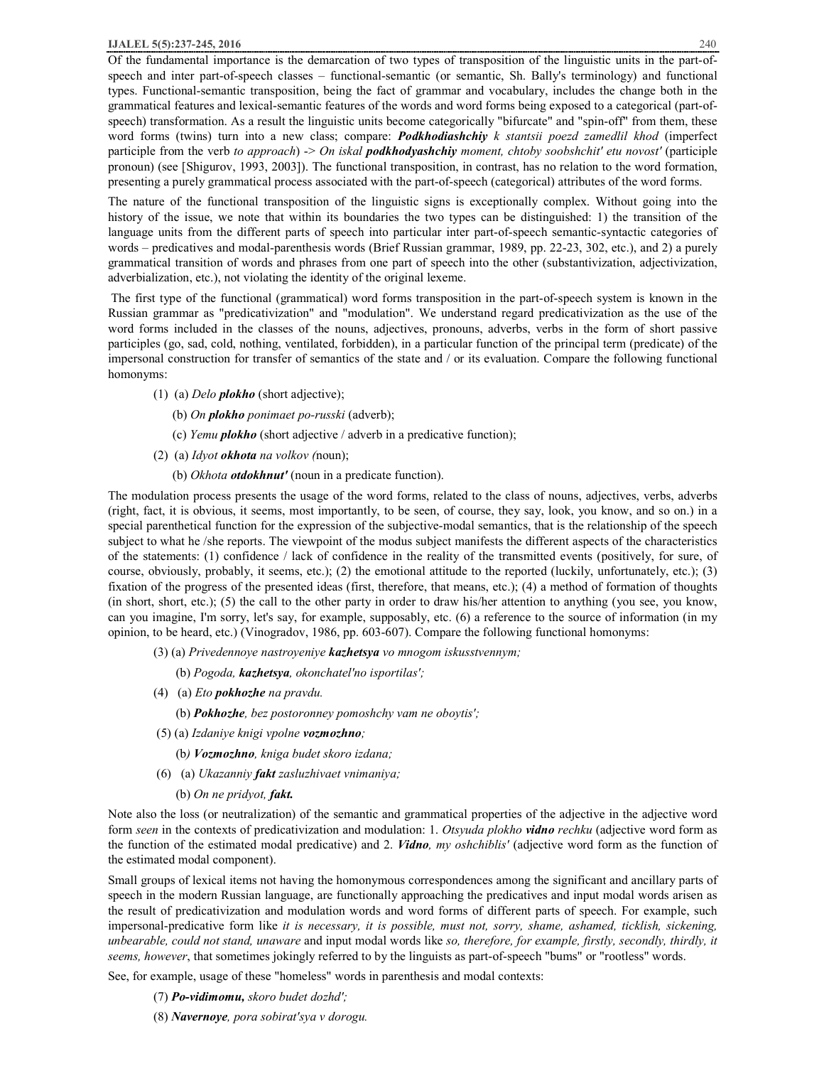Of the fundamental importance is the demarcation of two types of transposition of the linguistic units in the part-ofspeech and inter part-of-speech classes – functional-semantic (or semantic, Sh. Bally's terminology) and functional types. Functional-semantic transposition, being the fact of grammar and vocabulary, includes the change both in the grammatical features and lexical-semantic features of the words and word forms being exposed to a categorical (part-ofspeech) transformation. As a result the linguistic units become categorically "bifurcate" and "spin-off" from them, these word forms (twins) turn into a new class; compare: *Podkhodiashchiy k stantsii poezd zamedlil khod* (imperfect participle from the verb *to approach*) -> *On iskal podkhodyashchiy moment, chtoby soobshchit' etu novost'* (participle pronoun) (see [Shigurov, 1993, 2003]). The functional transposition, in contrast, has no relation to the word formation, presenting a purely grammatical process associated with the part-of-speech (categorical) attributes of the word forms.

The nature of the functional transposition of the linguistic signs is exceptionally complex. Without going into the history of the issue, we note that within its boundaries the two types can be distinguished: 1) the transition of the language units from the different parts of speech into particular inter part-of-speech semantic-syntactic categories of words – predicatives and modal-parenthesis words (Brief Russian grammar, 1989, pp. 22-23, 302, etc.), and 2) a purely grammatical transition of words and phrases from one part of speech into the other (substantivization, adjectivization, adverbialization, etc.), not violating the identity of the original lexeme.

 The first type of the functional (grammatical) word forms transposition in the part-of-speech system is known in the Russian grammar as "predicativization" and "modulation". We understand regard predicativization as the use of the word forms included in the classes of the nouns, adjectives, pronouns, adverbs, verbs in the form of short passive participles (go, sad, cold, nothing, ventilated, forbidden), in a particular function of the principal term (predicate) of the impersonal construction for transfer of semantics of the state and / or its evaluation. Compare the following functional homonyms:

- (1) (a) *Delo plokho* (short adjective);
	- (b) *On plokho ponimaet po-russki* (adverb);
	- (c) *Yemu plokho* (short adjective / adverb in a predicative function);
- (2) (a) *Idyot okhota na volkov (*noun);
	- (b) *Okhota otdokhnut'* (noun in a predicate function).

The modulation process presents the usage of the word forms, related to the class of nouns, adjectives, verbs, adverbs (right, fact, it is obvious, it seems, most importantly, to be seen, of course, they say, look, you know, and so on.) in a special parenthetical function for the expression of the subjective-modal semantics, that is the relationship of the speech subject to what he /she reports. The viewpoint of the modus subject manifests the different aspects of the characteristics of the statements: (1) confidence / lack of confidence in the reality of the transmitted events (positively, for sure, of course, obviously, probably, it seems, etc.); (2) the emotional attitude to the reported (luckily, unfortunately, etc.); (3) fixation of the progress of the presented ideas (first, therefore, that means, etc.); (4) a method of formation of thoughts (in short, short, etc.); (5) the call to the other party in order to draw his/her attention to anything (you see, you know, can you imagine, I'm sorry, let's say, for example, supposably, etc. (6) a reference to the source of information (in my opinion, to be heard, etc.) (Vinogradov, 1986, pp. 603-607). Compare the following functional homonyms:

- (3) (a) *Privedennoye nastroyeniye kazhetsya vo mnogom iskusstvennym;* 
	- (b) *Pogoda, kazhetsya, okonchatel'no isportilas';*
- (4) (a) *Eto pokhozhe na pravdu.*
	- (b) *Pokhozhe, bez postoronney pomoshchy vam ne oboytis';*
- (5) (a) *Izdaniye knigi vpolne vozmozhno;*
	- (b*) Vozmozhno, kniga budet skoro izdana;*
- (6) (a) *Ukazanniy fakt zasluzhivaet vnimaniya;*
	- (b) *On ne pridyot, fakt.*

Note also the loss (or neutralization) of the semantic and grammatical properties of the adjective in the adjective word form *seen* in the contexts of predicativization and modulation: 1. *Otsyuda plokho vidno rechku* (adjective word form as the function of the estimated modal predicative) and 2. *Vidno, my oshchiblis'* (adjective word form as the function of the estimated modal component).

Small groups of lexical items not having the homonymous correspondences among the significant and ancillary parts of speech in the modern Russian language, are functionally approaching the predicatives and input modal words arisen as the result of predicativization and modulation words and word forms of different parts of speech. For example, such impersonal-predicative form like *it is necessary, it is possible, must not, sorry, shame, ashamed, ticklish, sickening, unbearable, could not stand, unaware* and input modal words like *so, therefore, for example, firstly, secondly, thirdly, it seems, however*, that sometimes jokingly referred to by the linguists as part-of-speech "bums" or "rootless" words.

See, for example, usage of these "homeless" words in parenthesis and modal contexts:

- (7) *Po-vidimomu, skoro budet dozhd';*
- (8) *Navernoye, pora sobirat'sya v dorogu.*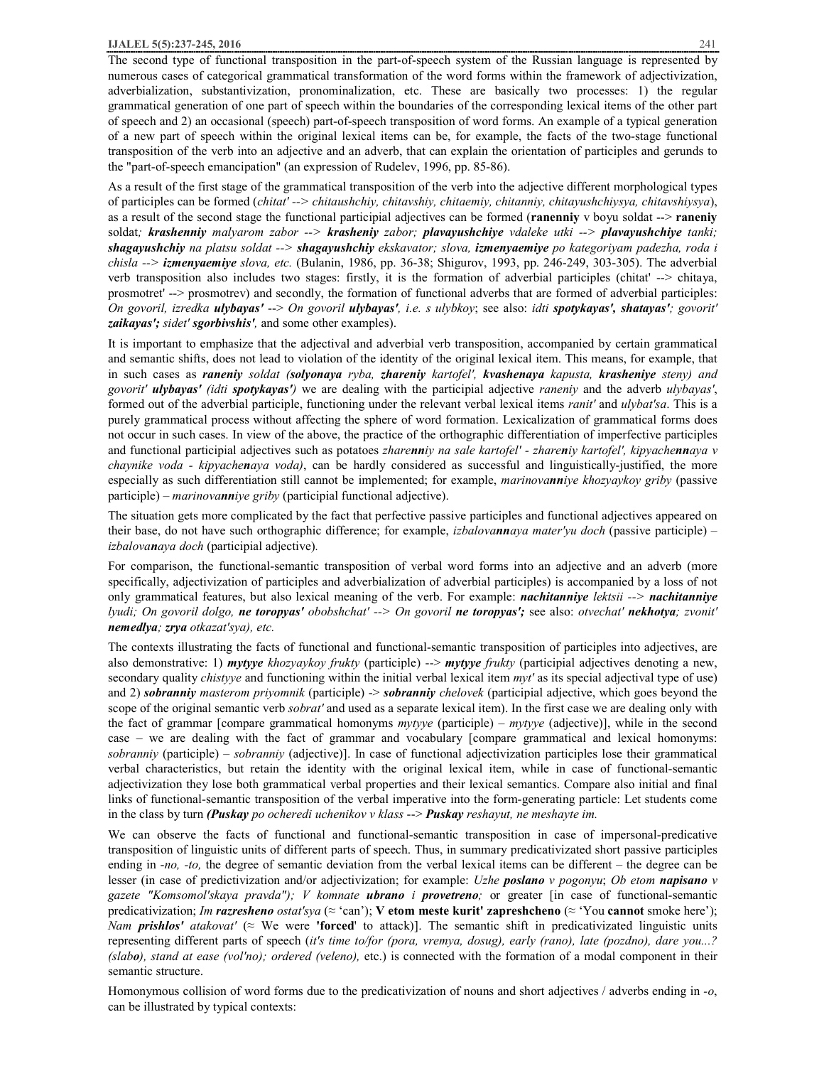#### **IJALEL 5(5):237-245, 2016** 241

The second type of functional transposition in the part-of-speech system of the Russian language is represented by numerous cases of categorical grammatical transformation of the word forms within the framework of adjectivization, adverbialization, substantivization, pronominalization, etc. These are basically two processes: 1) the regular grammatical generation of one part of speech within the boundaries of the corresponding lexical items of the other part of speech and 2) an occasional (speech) part-of-speech transposition of word forms. An example of a typical generation of a new part of speech within the original lexical items can be, for example, the facts of the two-stage functional transposition of the verb into an adjective and an adverb, that can explain the orientation of participles and gerunds to the "part-of-speech emancipation" (an expression of Rudelev, 1996, pp. 85-86).

As a result of the first stage of the grammatical transposition of the verb into the adjective different morphological types of participles can be formed (*chitat' --> chitaushchiy, chitavshiy, chitaemiy, chitanniy, chitayushchiysya, chitavshiysya*), as a result of the second stage the functional participial adjectives can be formed (**ranenniy** v boyu soldat --> **raneniy** soldat*; krashenniy malyarom zabor --> krasheniy zabor; plavayushchiye vdaleke utki --> plavayushchiye tanki; shagayushchiy na platsu soldat --> shagayushchiy ekskavator; slova, izmenyaemiye po kategoriyam padezha, roda i chisla --> izmenyaemiye slova, etc.* (Bulanin, 1986, pp. 36-38; Shigurov, 1993, pp. 246-249, 303-305). The adverbial verb transposition also includes two stages: firstly, it is the formation of adverbial participles (chitat' --> chitaya, prosmotret' --> prosmotrev) and secondly, the formation of functional adverbs that are formed of adverbial participles: On govoril, izredka ulybayas' --> On govoril ulybayas', i.e. s ulybkoy; see also: idti spotykayas', shatayas'; govorit' *zaikayas'; sidet' sgorbivshis',* and some other examples).

It is important to emphasize that the adjectival and adverbial verb transposition, accompanied by certain grammatical and semantic shifts, does not lead to violation of the identity of the original lexical item. This means, for example, that in such cases as *raneniy soldat (solyonaya ryba, zhareniy kartofel', kvashenaya kapusta, krasheniye steny) and govorit' ulybayas' (idti spotykayas')* we are dealing with the participial adjective *raneniy* and the adverb *ulybayas'*, formed out of the adverbial participle, functioning under the relevant verbal lexical items *ranit'* and *ulybat'sa*. This is a purely grammatical process without affecting the sphere of word formation. Lexicalization of grammatical forms does not occur in such cases. In view of the above, the practice of the orthographic differentiation of imperfective participles and functional participial adjectives such as potatoes zharenniy na sale kartofel' - zhareniy kartofel', kipyachennaya v *chaynike voda - kipyachenaya voda)*, can be hardly considered as successful and linguistically-justified, the more especially as such differentiation still cannot be implemented; for example, *marinovanniye khozyaykoy griby* (passive participle) *– marinovanniye griby* (participial functional adjective).

The situation gets more complicated by the fact that perfective passive participles and functional adjectives appeared on their base, do not have such orthographic difference; for example, *izbalovannaya mater'yu doch* (passive participle) *– izbalovanaya doch* (participial adjective)*.* 

For comparison, the functional-semantic transposition of verbal word forms into an adjective and an adverb (more specifically, adjectivization of participles and adverbialization of adverbial participles) is accompanied by a loss of not only grammatical features, but also lexical meaning of the verb. For example: *nachitanniye lektsii --> nachitanniye*  lyudi; On govoril dolgo, ne toropyas' obobshchat' --> On govoril ne toropyas'; see also: otvechat' nekhotya; zvonit' *nemedlya; zrya otkazat'sya), etc.* 

The contexts illustrating the facts of functional and functional-semantic transposition of participles into adjectives, are also demonstrative: 1) *mytyye khozyaykoy frukty* (participle) --> *mytyye frukty* (participial adjectives denoting a new, secondary quality *chistyye* and functioning within the initial verbal lexical item *myt'* as its special adjectival type of use) and 2) *sobranniy masterom priyomnik* (participle) -> *sobranniy chelovek* (participial adjective, which goes beyond the scope of the original semantic verb *sobrat'* and used as a separate lexical item). In the first case we are dealing only with the fact of grammar [compare grammatical homonyms *mytyye* (participle) – *mytyye* (adjective)], while in the second case – we are dealing with the fact of grammar and vocabulary [compare grammatical and lexical homonyms: *sobranniy* (participle) – *sobranniy* (adjective)]. In case of functional adjectivization participles lose their grammatical verbal characteristics, but retain the identity with the original lexical item, while in case of functional-semantic adjectivization they lose both grammatical verbal properties and their lexical semantics. Compare also initial and final links of functional-semantic transposition of the verbal imperative into the form-generating particle: Let students come in the class by turn *(Puskay po ocheredi uchenikov v klass* --> *Puskay reshayut, ne meshayte im.* 

We can observe the facts of functional and functional-semantic transposition in case of impersonal-predicative transposition of linguistic units of different parts of speech. Thus, in summary predicativizated short passive participles ending in -*no, -to,* the degree of semantic deviation from the verbal lexical items can be different – the degree can be lesser (in case of predictivization and/or adjectivization; for example: *Uzhe poslano v pogonyu*; *Ob etom napisano v gazete "Komsomol'skaya pravda"); V komnate ubrano i provetreno;* or greater [in case of functional-semantic predicativization; *Im razresheno ostat'sya* (≈ 'can'); **V etom meste kurit' zapreshcheno** (≈ 'You **cannot** smoke here'); *Nam prishlos' atakovat'* ( $\approx$  We were 'forced' to attack)]. The semantic shift in predicativizated linguistic units representing different parts of speech (*it's time to/for (pora, vremya, dosug), early (rano), late (pozdno), dare you...? (slabo), stand at ease (vol'no); ordered (veleno),* etc.) is connected with the formation of a modal component in their semantic structure.

Homonymous collision of word forms due to the predicativization of nouns and short adjectives / adverbs ending in *-o*, can be illustrated by typical contexts: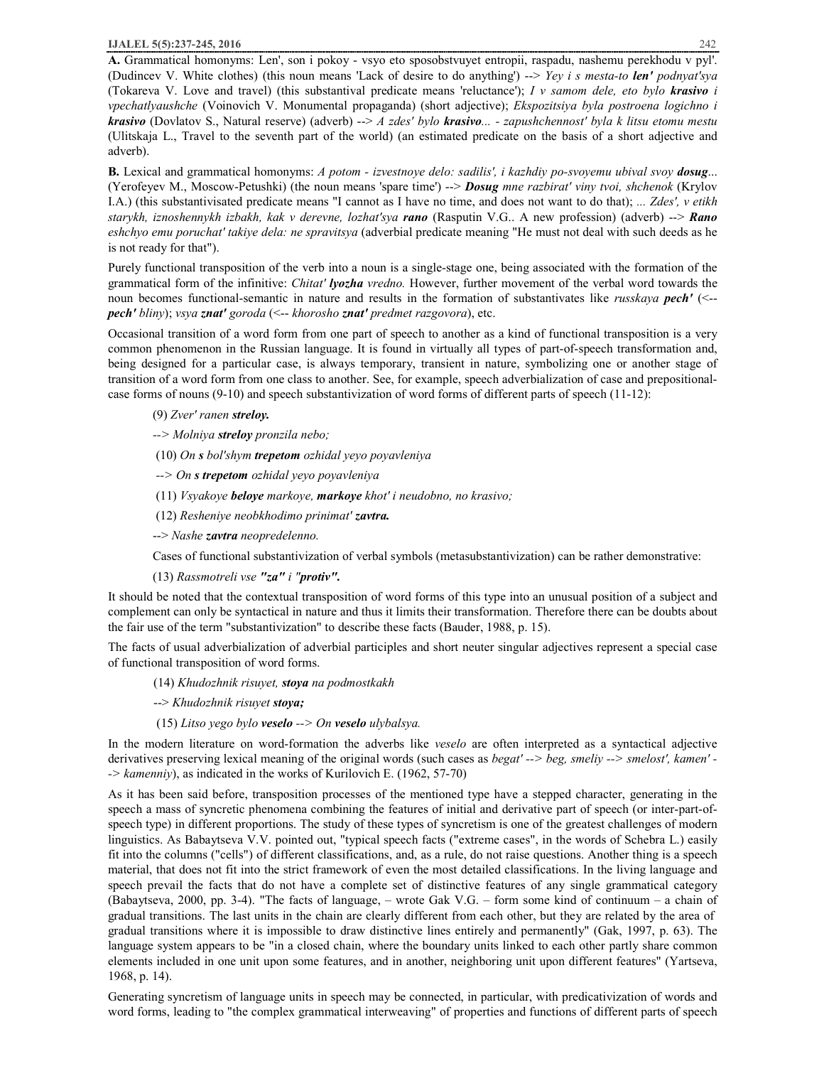**A.** Grammatical homonyms: Len', son i pokoy - vsyo eto sposobstvuyet entropii, raspadu, nashemu perekhodu v pyl'. (Dudincev V. White clothes) (this noun means 'Lack of desire to do anything') --> *Yey i s mesta-to len' podnyat'sya* (Tokareva V. Love and travel) (this substantival predicate means 'reluctance'); *I v samom dele, eto bylo krasivo i vpechatlyaushche* (Voinovich V. Monumental propaganda) (short adjective); *Ekspozitsiya byla postroena logichno i krasivo* (Dovlatov S., Natural reserve) (adverb) --> *A zdes' bylo krasivo... - zapushchennost' byla k litsu etomu mestu* (Ulitskaja L., Travel to the seventh part of the world) (an estimated predicate on the basis of a short adjective and adverb).

**B.** Lexical and grammatical homonyms: *A potom - izvestnoye delo: sadilis', i kazhdiy po-svoyemu ubival svoy dosug*... (Yerofeyev М., Moscow-Petushki) (the noun means 'spare time') --> *Dosug mne razbirat' viny tvoi, shchenok* (Krylov I.A.) (this substantivisated predicate means "I cannot as I have no time, and does not want to do that); *... Zdes', v etikh starykh, iznoshennykh izbakh, kak v derevne, lozhat'sya rano* (Rasputin V.G.. A new profession) (adverb) --> *Rano eshchyo emu poruchat' takiye dela: ne spravitsya* (adverbial predicate meaning "He must not deal with such deeds as he is not ready for that").

Purely functional transposition of the verb into a noun is a single-stage one, being associated with the formation of the grammatical form of the infinitive: *Chitat' lyozha vredno.* However, further movement of the verbal word towards the noun becomes functional-semantic in nature and results in the formation of substantivates like *russkaya pech'* (<- *pech' bliny*); *vsya znat' goroda* (<-- *khorosho znat' predmet razgovora*), etc.

Occasional transition of a word form from one part of speech to another as a kind of functional transposition is a very common phenomenon in the Russian language. It is found in virtually all types of part-of-speech transformation and, being designed for a particular case, is always temporary, transient in nature, symbolizing one or another stage of transition of a word form from one class to another. See, for example, speech adverbialization of case and prepositionalcase forms of nouns (9-10) and speech substantivization of word forms of different parts of speech (11-12):

(9) *Zver' ranen streloy.*

*--> Molniya streloy pronzila nebo;* 

(10) *On s bol'shym trepetom ozhidal yeyo poyavleniya*

*--> On s trepetom ozhidal yeyo poyavleniya* 

(11) *Vsyakoye beloye markoye, markoye khot' i neudobno, no krasivo;* 

(12) *Resheniye neobkhodimo prinimat' zavtra.*

--> *Nashe zavtra neopredelenno.*

Cases of functional substantivization of verbal symbols (metasubstantivization) can be rather demonstrative:

(13) *Rassmotreli vse "za" i "protiv".*

It should be noted that the contextual transposition of word forms of this type into an unusual position of a subject and complement can only be syntactical in nature and thus it limits their transformation. Therefore there can be doubts about the fair use of the term "substantivization" to describe these facts (Bauder, 1988, p. 15).

The facts of usual adverbialization of adverbial participles and short neuter singular adjectives represent a special case of functional transposition of word forms.

(14) *Khudozhnik risuyet, stoya na podmostkakh*

--> *Khudozhnik risuyet stoya;*

(15) *Litso yego bylo veselo --> On veselo ulybalsya.* 

In the modern literature on word-formation the adverbs like *veselo* are often interpreted as a syntactical adjective derivatives preserving lexical meaning of the original words (such cases as *begat' --> beg, smeliy --> smelost', kamen' - -> kamenniy*), as indicated in the works of Kurilovich E. (1962, 57-70)

As it has been said before, transposition processes of the mentioned type have a stepped character, generating in the speech a mass of syncretic phenomena combining the features of initial and derivative part of speech (or inter-part-ofspeech type) in different proportions. The study of these types of syncretism is one of the greatest challenges of modern linguistics. As Babaytseva V.V. pointed out, "typical speech facts ("extreme cases", in the words of Schebra L.) easily fit into the columns ("cells") of different classifications, and, as a rule, do not raise questions. Another thing is a speech material, that does not fit into the strict framework of even the most detailed classifications. In the living language and speech prevail the facts that do not have a complete set of distinctive features of any single grammatical category (Babaytseva, 2000, pp. 3-4). "The facts of language, – wrote Gak V.G. – form some kind of continuum – a chain of gradual transitions. The last units in the chain are clearly different from each other, but they are related by the area of gradual transitions where it is impossible to draw distinctive lines entirely and permanently" (Gak, 1997, p. 63). The language system appears to be "in a closed chain, where the boundary units linked to each other partly share common elements included in one unit upon some features, and in another, neighboring unit upon different features" (Yartseva, 1968, p. 14).

Generating syncretism of language units in speech may be connected, in particular, with predicativization of words and word forms, leading to "the complex grammatical interweaving" of properties and functions of different parts of speech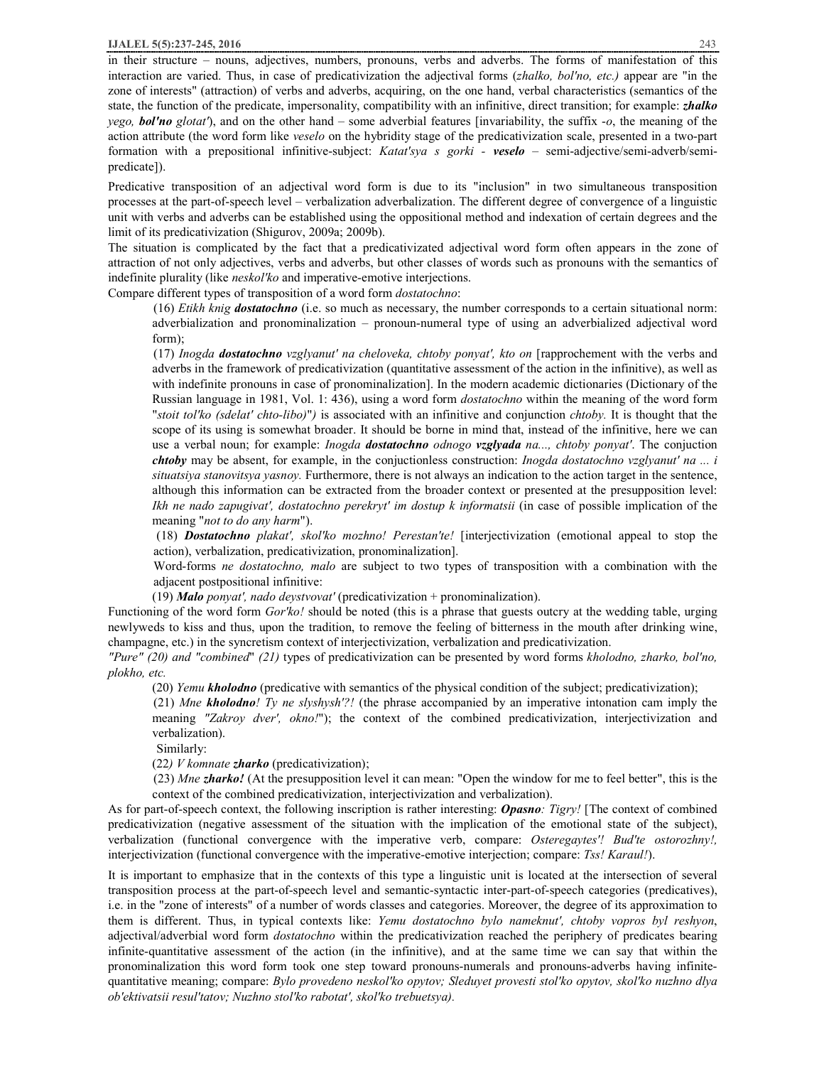in their structure – nouns, adjectives, numbers, pronouns, verbs and adverbs. The forms of manifestation of this interaction are varied. Thus, in case of predicativization the adjectival forms (*zhalko, bol'no, etc.)* appear are "in the zone of interests" (attraction) of verbs and adverbs, acquiring, on the one hand, verbal characteristics (semantics of the state, the function of the predicate, impersonality, compatibility with an infinitive, direct transition; for example: *zhalko yego, bol'no glotat'*), and on the other hand – some adverbial features [invariability, the suffix -*o*, the meaning of the action attribute (the word form like *veselo* on the hybridity stage of the predicativization scale, presented in a two-part formation with a prepositional infinitive-subject: *Katat'sya s gorki - veselo* – semi-adjective/semi-adverb/semipredicate]).

Predicative transposition of an adjectival word form is due to its "inclusion" in two simultaneous transposition processes at the part-of-speech level – verbalization adverbalization. The different degree of convergence of a linguistic unit with verbs and adverbs can be established using the oppositional method and indexation of certain degrees and the limit of its predicativization (Shigurov, 2009a; 2009b).

The situation is complicated by the fact that a predicativizated adjectival word form often appears in the zone of attraction of not only adjectives, verbs and adverbs, but other classes of words such as pronouns with the semantics of indefinite plurality (like *neskol'ko* and imperative-emotive interjections.

Compare different types of transposition of a word form *dostatochno*:

(16) *Etikh knig dostatochno* (i.e. so much as necessary, the number corresponds to a certain situational norm: adverbialization and pronominalization – pronoun-numeral type of using an adverbialized adjectival word form);

(17) *Inogda dostatochno vzglyanut' na cheloveka, chtoby ponyat', kto on* [rapprochement with the verbs and adverbs in the framework of predicativization (quantitative assessment of the action in the infinitive), as well as with indefinite pronouns in case of pronominalization]. In the modern academic dictionaries (Dictionary of the Russian language in 1981, Vol. 1: 436), using a word form *dostatochno* within the meaning of the word form "*stoit tol'ko (sdelat' chto-libo)*"*)* is associated with an infinitive and conjunction *chtoby.* It is thought that the scope of its using is somewhat broader. It should be borne in mind that, instead of the infinitive, here we can use a verbal noun; for example: *Inogda dostatochno odnogo vzglyada na..., chtoby ponyat'*. The conjuction *chtoby* may be absent, for example, in the conjuctionless construction: *Inogda dostatochno vzglyanut' na ... i situatsiya stanovitsya yasnoy.* Furthermore, there is not always an indication to the action target in the sentence, although this information can be extracted from the broader context or presented at the presupposition level: *Ikh ne nado zapugivat', dostatochno perekryt' im dostup k informatsii* (in case of possible implication of the meaning "*not to do any harm*").

(18) *Dostatochno plakat', skol'ko mozhno! Perestan'te!* [interjectivization (emotional appeal to stop the action), verbalization, predicativization, pronominalization].

Word-forms *ne dostatochno, malo* are subject to two types of transposition with a combination with the adjacent postpositional infinitive:

(19) *Malo ponyat', nado deystvovat'* (predicativization + pronominalization).

Functioning of the word form *Gor'ko!* should be noted (this is a phrase that guests outcry at the wedding table, urging newlyweds to kiss and thus, upon the tradition, to remove the feeling of bitterness in the mouth after drinking wine, champagne, etc.) in the syncretism context of interjectivization, verbalization and predicativization.

*"Pure" (20) and "combined*" *(21)* types of predicativization can be presented by word forms *kholodno, zharko, bol'no, plokho, etc.* 

(20) *Yemu kholodno* (predicative with semantics of the physical condition of the subject; predicativization);

(21) *Mne kholodno! Ty ne slyshysh'?!* (the phrase accompanied by an imperative intonation cam imply the meaning *"Zakroy dver', okno!*"); the context of the combined predicativization, interjectivization and verbalization).

Similarly:

(22*) V komnate zharko* (predicativization);

(23) *Mne zharko!* (At the presupposition level it can mean: "Open the window for me to feel better", this is the context of the combined predicativization, interjectivization and verbalization).

As for part-of-speech context, the following inscription is rather interesting: *Opasno: Tigry!* [The context of combined predicativization (negative assessment of the situation with the implication of the emotional state of the subject), verbalization (functional convergence with the imperative verb, compare: *Osteregaytes'! Bud'te ostorozhny!,*  interjectivization (functional convergence with the imperative-emotive interjection; compare: *Tss! Karaul!*).

It is important to emphasize that in the contexts of this type a linguistic unit is located at the intersection of several transposition process at the part-of-speech level and semantic-syntactic inter-part-of-speech categories (predicatives), i.e. in the "zone of interests" of a number of words classes and categories. Moreover, the degree of its approximation to them is different. Thus, in typical contexts like: *Yemu dostatochno bylo nameknut', chtoby vopros byl reshyon*, adjectival/adverbial word form *dostatochno* within the predicativization reached the periphery of predicates bearing infinite-quantitative assessment of the action (in the infinitive), and at the same time we can say that within the pronominalization this word form took one step toward pronouns-numerals and pronouns-adverbs having infinitequantitative meaning; compare: *Bylo provedeno neskol'ko opytov; Sleduyet provesti stol'ko opytov, skol'ko nuzhno dlya ob'ektivatsii resul'tatov; Nuzhno stol'ko rabotat', skol'ko trebuetsya).*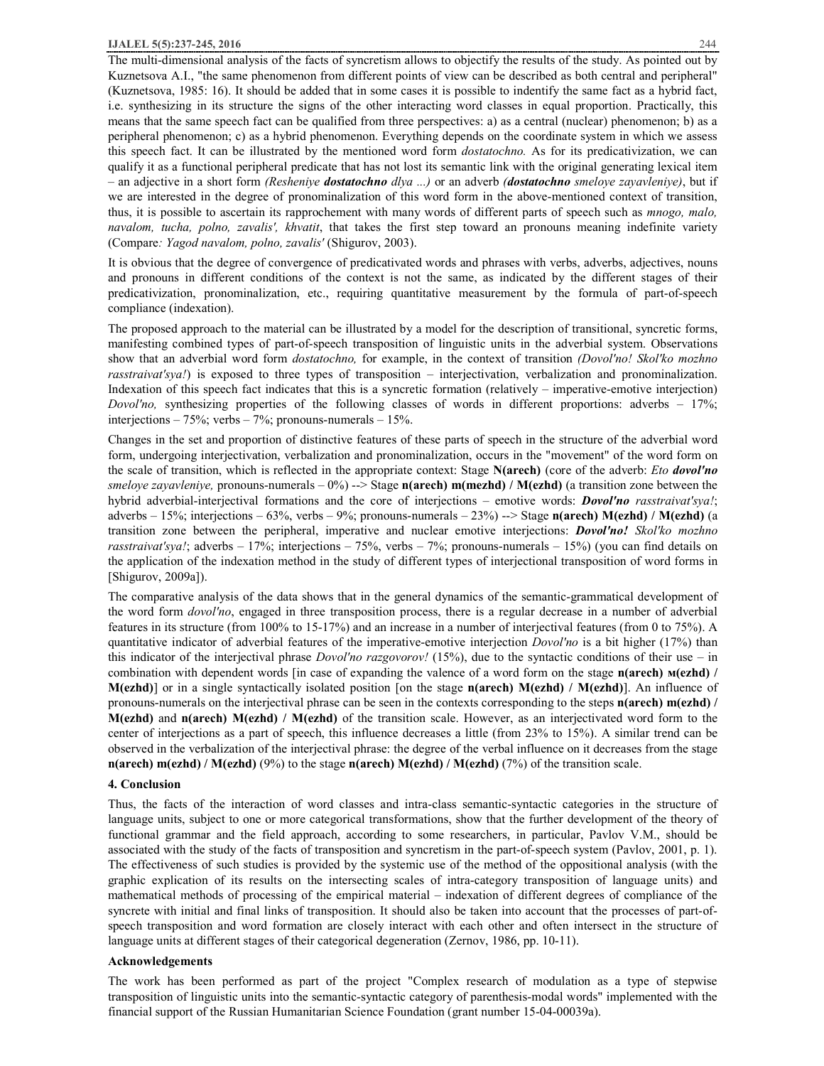The multi-dimensional analysis of the facts of syncretism allows to objectify the results of the study. As pointed out by Kuznetsova A.I., "the same phenomenon from different points of view can be described as both central and peripheral" (Kuznetsova, 1985: 16). It should be added that in some cases it is possible to indentify the same fact as a hybrid fact, i.e. synthesizing in its structure the signs of the other interacting word classes in equal proportion. Practically, this means that the same speech fact can be qualified from three perspectives: a) as a central (nuclear) phenomenon; b) as a peripheral phenomenon; c) as a hybrid phenomenon. Everything depends on the coordinate system in which we assess this speech fact. It can be illustrated by the mentioned word form *dostatochno.* As for its predicativization, we can qualify it as a functional peripheral predicate that has not lost its semantic link with the original generating lexical item – an adjective in a short form *(Resheniye dostatochno dlya ...)* or an adverb *(dostatochno smeloye zayavleniye)*, but if we are interested in the degree of pronominalization of this word form in the above-mentioned context of transition, thus, it is possible to ascertain its rapprochement with many words of different parts of speech such as *mnogo, malo, navalom, tucha, polno, zavalis', khvatit*, that takes the first step toward an pronouns meaning indefinite variety (Compare*: Yagod navalom, polno, zavalis'* (Shigurov, 2003).

It is obvious that the degree of convergence of predicativated words and phrases with verbs, adverbs, adjectives, nouns and pronouns in different conditions of the context is not the same, as indicated by the different stages of their predicativization, pronominalization, etc., requiring quantitative measurement by the formula of part-of-speech compliance (indexation).

The proposed approach to the material can be illustrated by a model for the description of transitional, syncretic forms, manifesting combined types of part-of-speech transposition of linguistic units in the adverbial system. Observations show that an adverbial word form *dostatochno,* for example, in the context of transition *(Dovol'no! Skol'ko mozhno rasstraivat'sya!*) is exposed to three types of transposition – interjectivation, verbalization and pronominalization. Indexation of this speech fact indicates that this is a syncretic formation (relatively – imperative-emotive interjection) *Dovol'no,* synthesizing properties of the following classes of words in different proportions: adverbs – 17%; interjections – 75%; verbs – 7%; pronouns-numerals – 15%.

Changes in the set and proportion of distinctive features of these parts of speech in the structure of the adverbial word form, undergoing interjectivation, verbalization and pronominalization, occurs in the "movement" of the word form on the scale of transition, which is reflected in the appropriate context: Stage **N(arech)** (core of the adverb: *Eto dovol'no smeloye zayavleniye,* pronouns-numerals – 0%) --> Stage **n(arech) m(mezhd) / M(ezhd)** (a transition zone between the hybrid adverbial-interjectival formations and the core of interjections – emotive words: *Dovol'no rasstraivat'sya!*; adverbs – 15%; interjections – 63%, verbs – 9%; pronouns-numerals – 23%) --> Stage **n(arech) M(ezhd) / М(ezhd)** (a transition zone between the peripheral, imperative and nuclear emotive interjections: *Dovol'no! Skol'ko mozhno rasstraivat'sya!*; adverbs – 17%; interjections – 75%, verbs – 7%; pronouns-numerals – 15%) (you can find details on the application of the indexation method in the study of different types of interjectional transposition of word forms in [Shigurov, 2009a]).

The comparative analysis of the data shows that in the general dynamics of the semantic-grammatical development of the word form *dovol'no*, engaged in three transposition process, there is a regular decrease in a number of adverbial features in its structure (from 100% to 15-17%) and an increase in a number of interjectival features (from 0 to 75%). A quantitative indicator of adverbial features of the imperative-emotive interjection *Dovol'no* is a bit higher (17%) than this indicator of the interjectival phrase *Dovol'no razgovorov!* (15%), due to the syntactic conditions of their use – in combination with dependent words [in case of expanding the valence of a word form on the stage **n(arech) м(ezhd) / М(ezhd)**] or in a single syntactically isolated position [on the stage **n(arech) М(ezhd) / М(ezhd)**]. An influence of pronouns-numerals on the interjectival phrase can be seen in the contexts corresponding to the steps **n(arech) m(ezhd) / М(ezhd)** and **n(arech) M(ezhd) / М(ezhd)** of the transition scale. However, as an interjectivated word form to the center of interjections as a part of speech, this influence decreases a little (from 23% to 15%). A similar trend can be observed in the verbalization of the interjectival phrase: the degree of the verbal influence on it decreases from the stage **n(arech) m(ezhd) / М(ezhd)** (9%) to the stage **n(arech) М(ezhd) / М(ezhd)** (7%) of the transition scale.

## **4. Conclusion**

Thus, the facts of the interaction of word classes and intra-class semantic-syntactic categories in the structure of language units, subject to one or more categorical transformations, show that the further development of the theory of functional grammar and the field approach, according to some researchers, in particular, Pavlov V.M., should be associated with the study of the facts of transposition and syncretism in the part-of-speech system (Pavlov, 2001, p. 1). The effectiveness of such studies is provided by the systemic use of the method of the oppositional analysis (with the graphic explication of its results on the intersecting scales of intra-category transposition of language units) and mathematical methods of processing of the empirical material – indexation of different degrees of compliance of the syncrete with initial and final links of transposition. It should also be taken into account that the processes of part-ofspeech transposition and word formation are closely interact with each other and often intersect in the structure of language units at different stages of their categorical degeneration (Zernov, 1986, pp. 10-11).

## **Acknowledgements**

The work has been performed as part of the project "Complex research of modulation as a type of stepwise transposition of linguistic units into the semantic-syntactic category of parenthesis-modal words" implemented with the financial support of the Russian Humanitarian Science Foundation (grant number 15-04-00039a).